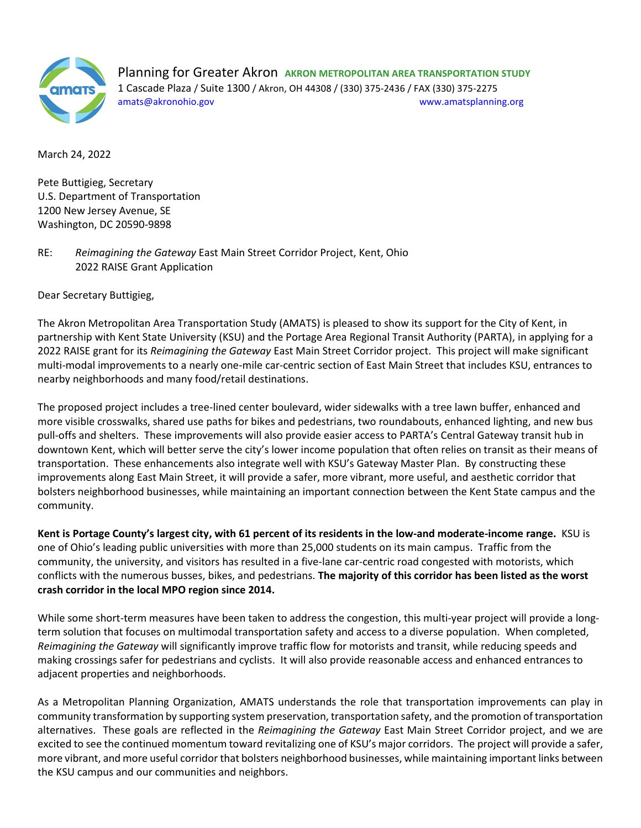

Planning for Greater Akron **AKRON METROPOLITAN AREA TRANSPORTATION STUDY** 1 Cascade Plaza / Suite 1300 / Akron, OH 44308 / (330) 375-2436 / FAX (330) 375-2275 [amats@akronohio.gov](mailto:amats@akronohio.gov) [www.amatsplanning.org](http://www.amatsplanning.org/)

March 24, 2022

Pete Buttigieg, Secretary U.S. Department of Transportation 1200 New Jersey Avenue, SE Washington, DC 20590-9898

RE: *Reimagining the Gateway* East Main Street Corridor Project, Kent, Ohio 2022 RAISE Grant Application

Dear Secretary Buttigieg,

The Akron Metropolitan Area Transportation Study (AMATS) is pleased to show its support for the City of Kent, in partnership with Kent State University (KSU) and the Portage Area Regional Transit Authority (PARTA), in applying for a 2022 RAISE grant for its *Reimagining the Gateway* East Main Street Corridor project. This project will make significant multi-modal improvements to a nearly one-mile car-centric section of East Main Street that includes KSU, entrances to nearby neighborhoods and many food/retail destinations.

The proposed project includes a tree-lined center boulevard, wider sidewalks with a tree lawn buffer, enhanced and more visible crosswalks, shared use paths for bikes and pedestrians, two roundabouts, enhanced lighting, and new bus pull-offs and shelters. These improvements will also provide easier access to PARTA's Central Gateway transit hub in downtown Kent, which will better serve the city's lower income population that often relies on transit as their means of transportation. These enhancements also integrate well with KSU's Gateway Master Plan. By constructing these improvements along East Main Street, it will provide a safer, more vibrant, more useful, and aesthetic corridor that bolsters neighborhood businesses, while maintaining an important connection between the Kent State campus and the community.

**Kent is Portage County's largest city, with 61 percent of its residents in the low-and moderate-income range.** KSU is one of Ohio's leading public universities with more than 25,000 students on its main campus. Traffic from the community, the university, and visitors has resulted in a five-lane car-centric road congested with motorists, which conflicts with the numerous busses, bikes, and pedestrians. **The majority of this corridor has been listed as the worst crash corridor in the local MPO region since 2014.**

While some short-term measures have been taken to address the congestion, this multi-year project will provide a longterm solution that focuses on multimodal transportation safety and access to a diverse population. When completed, *Reimagining the Gateway* will significantly improve traffic flow for motorists and transit, while reducing speeds and making crossings safer for pedestrians and cyclists. It will also provide reasonable access and enhanced entrances to adjacent properties and neighborhoods.

As a Metropolitan Planning Organization, AMATS understands the role that transportation improvements can play in community transformation by supporting system preservation, transportation safety, and the promotion of transportation alternatives. These goals are reflected in the *Reimagining the Gateway* East Main Street Corridor project, and we are excited to see the continued momentum toward revitalizing one of KSU's major corridors. The project will provide a safer, more vibrant, and more useful corridor that bolsters neighborhood businesses, while maintaining important links between the KSU campus and our communities and neighbors.